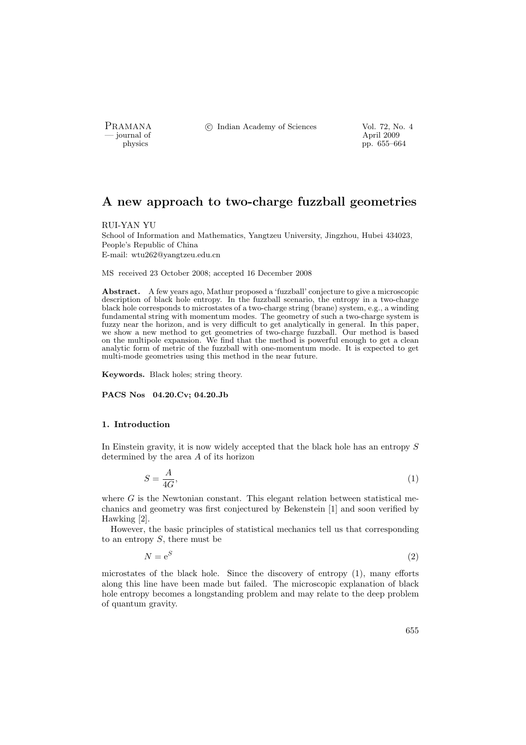PRAMANA °c Indian Academy of Sciences Vol. 72, No. 4

physics and the contract of the contract of the physics of the contract of  $\mu$  applies to  $\mu$  applies to  $\mu$  applies to  $\mu$  applies to  $\mu$  and  $\mu$  applies to  $\mu$  and  $\mu$  applies to  $\mu$  and  $\mu$  and  $\mu$  and  $\mu$  a pp. 655–664

# A new approach to two-charge fuzzball geometries

RUI-YAN YU

School of Information and Mathematics, Yangtzeu University, Jingzhou, Hubei 434023, People's Republic of China E-mail: wtu262@yangtzeu.edu.cn

MS received 23 October 2008; accepted 16 December 2008

Abstract. A few years ago, Mathur proposed a 'fuzzball' conjecture to give a microscopic description of black hole entropy. In the fuzzball scenario, the entropy in a two-charge black hole corresponds to microstates of a two-charge string (brane) system, e.g., a winding fundamental string with momentum modes. The geometry of such a two-charge system is fuzzy near the horizon, and is very difficult to get analytically in general. In this paper, we show a new method to get geometries of two-charge fuzzball. Our method is based on the multipole expansion. We find that the method is powerful enough to get a clean analytic form of metric of the fuzzball with one-momentum mode. It is expected to get multi-mode geometries using this method in the near future.

Keywords. Black holes; string theory.

PACS Nos 04.20.Cv; 04.20.Jb

#### 1. Introduction

In Einstein gravity, it is now widely accepted that the black hole has an entropy S determined by the area A of its horizon

$$
S = \frac{A}{4G},\tag{1}
$$

where  $G$  is the Newtonian constant. This elegant relation between statistical mechanics and geometry was first conjectured by Bekenstein [1] and soon verified by Hawking [2].

However, the basic principles of statistical mechanics tell us that corresponding to an entropy  $S$ , there must be

> $N = e^S$ (2)

microstates of the black hole. Since the discovery of entropy (1), many efforts along this line have been made but failed. The microscopic explanation of black hole entropy becomes a longstanding problem and may relate to the deep problem of quantum gravity.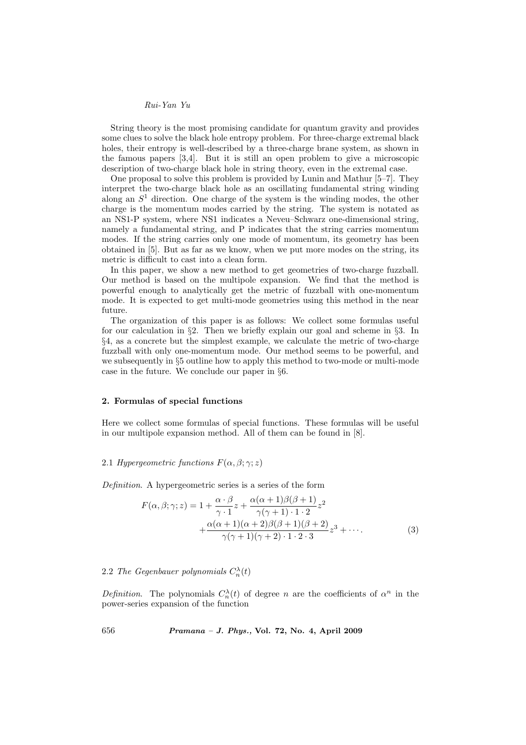String theory is the most promising candidate for quantum gravity and provides some clues to solve the black hole entropy problem. For three-charge extremal black holes, their entropy is well-described by a three-charge brane system, as shown in the famous papers [3,4]. But it is still an open problem to give a microscopic description of two-charge black hole in string theory, even in the extremal case.

One proposal to solve this problem is provided by Lunin and Mathur [5–7]. They interpret the two-charge black hole as an oscillating fundamental string winding along an  $S<sup>1</sup>$  direction. One charge of the system is the winding modes, the other charge is the momentum modes carried by the string. The system is notated as an NS1-P system, where NS1 indicates a Neveu–Schwarz one-dimensional string, namely a fundamental string, and P indicates that the string carries momentum modes. If the string carries only one mode of momentum, its geometry has been obtained in [5]. But as far as we know, when we put more modes on the string, its metric is difficult to cast into a clean form.

In this paper, we show a new method to get geometries of two-charge fuzzball. Our method is based on the multipole expansion. We find that the method is powerful enough to analytically get the metric of fuzzball with one-momentum mode. It is expected to get multi-mode geometries using this method in the near future.

The organization of this paper is as follows: We collect some formulas useful for our calculation in §2. Then we briefly explain our goal and scheme in §3. In §4, as a concrete but the simplest example, we calculate the metric of two-charge fuzzball with only one-momentum mode. Our method seems to be powerful, and we subsequently in §5 outline how to apply this method to two-mode or multi-mode case in the future. We conclude our paper in §6.

#### 2. Formulas of special functions

Here we collect some formulas of special functions. These formulas will be useful in our multipole expansion method. All of them can be found in [8].

### 2.1 Hypergeometric functions  $F(\alpha, \beta; \gamma; z)$

Definition. A hypergeometric series is a series of the form

$$
F(\alpha, \beta; \gamma; z) = 1 + \frac{\alpha \cdot \beta}{\gamma \cdot 1} z + \frac{\alpha(\alpha + 1)\beta(\beta + 1)}{\gamma(\gamma + 1) \cdot 1 \cdot 2} z^2
$$
  
+ 
$$
\frac{\alpha(\alpha + 1)(\alpha + 2)\beta(\beta + 1)(\beta + 2)}{\gamma(\gamma + 1)(\gamma + 2) \cdot 1 \cdot 2 \cdot 3} z^3 + \cdots
$$
 (3)

2.2 The Gegenbauer polynomials  $C_n^{\lambda}(t)$ 

Definition. The polynomials  $C_n^{\lambda}(t)$  of degree n are the coefficients of  $\alpha^n$  in the power-series expansion of the function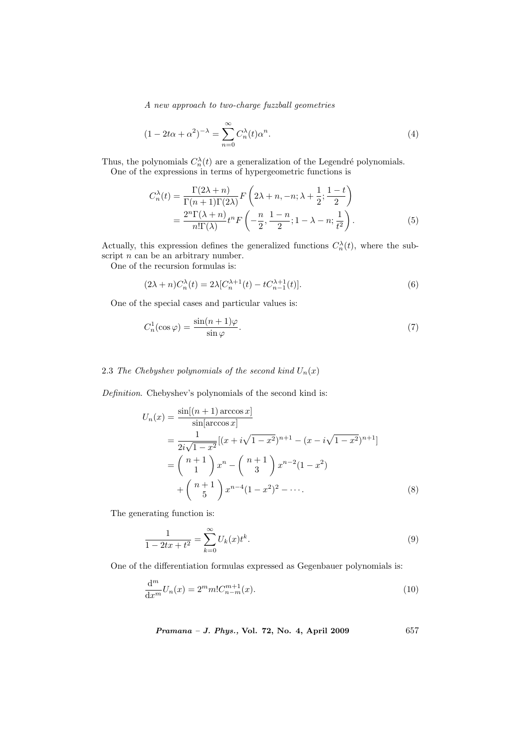$$
(1 - 2t\alpha + \alpha^2)^{-\lambda} = \sum_{n=0}^{\infty} C_n^{\lambda}(t)\alpha^n.
$$
 (4)

Thus, the polynomials  $C_n^{\lambda}(t)$  are a generalization of the Legendré polynomials.

One of the expressions in terms of hypergeometric functions is

$$
C_n^{\lambda}(t) = \frac{\Gamma(2\lambda + n)}{\Gamma(n+1)\Gamma(2\lambda)} F\left(2\lambda + n, -n; \lambda + \frac{1}{2}; \frac{1-t}{2}\right)
$$
  
= 
$$
\frac{2^n \Gamma(\lambda + n)}{n! \Gamma(\lambda)} t^n F\left(-\frac{n}{2}, \frac{1-n}{2}; 1-\lambda - n; \frac{1}{t^2}\right).
$$
 (5)

Actually, this expression defines the generalized functions  $C_n^{\lambda}(t)$ , where the subscript  $n$  can be an arbitrary number.

One of the recursion formulas is:

$$
(2\lambda + n)C_n^{\lambda}(t) = 2\lambda [C_n^{\lambda+1}(t) - tC_{n-1}^{\lambda+1}(t)].
$$
\n(6)

One of the special cases and particular values is:

$$
C_n^1(\cos\varphi) = \frac{\sin(n+1)\varphi}{\sin\varphi}.\tag{7}
$$

## 2.3 The Chebyshev polynomials of the second kind  $U_n(x)$

Definition. Chebyshev's polynomials of the second kind is:

$$
U_n(x) = \frac{\sin[(n+1)\arccos x]}{\sin[\arccos x]}
$$
  
= 
$$
\frac{1}{2i\sqrt{1-x^2}}[(x+i\sqrt{1-x^2})^{n+1} - (x-i\sqrt{1-x^2})^{n+1}]
$$
  
= 
$$
\binom{n+1}{1}x^n - \binom{n+1}{3}x^{n-2}(1-x^2)
$$
  
+ 
$$
\binom{n+1}{5}x^{n-4}(1-x^2)^2 - \cdots
$$
 (8)

The generating function is:

$$
\frac{1}{1 - 2tx + t^2} = \sum_{k=0}^{\infty} U_k(x)t^k.
$$
\n(9)

One of the differentiation formulas expressed as Gegenbauer polynomials is:

$$
\frac{d^m}{dx^m}U_n(x) = 2^m m! C_{n-m}^{m+1}(x).
$$
\n(10)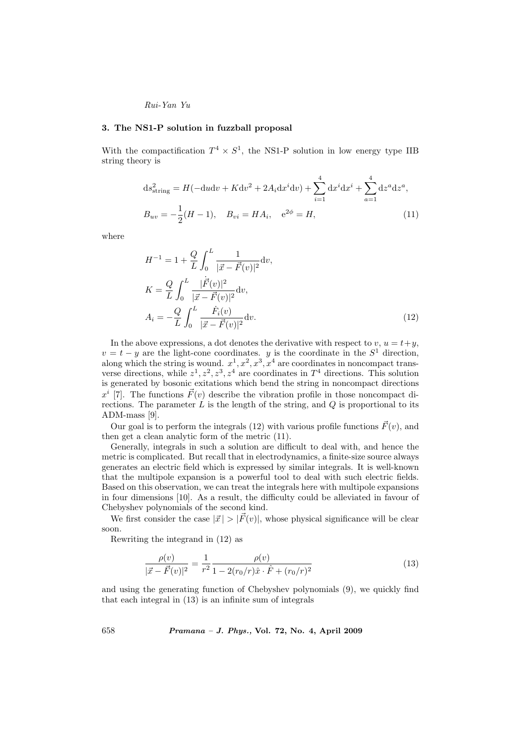#### 3. The NS1-P solution in fuzzball proposal

With the compactification  $T^4 \times S^1$ , the NS1-P solution in low energy type IIB string theory is

$$
ds_{string}^2 = H(-dudv + Kdv^2 + 2A_i dx^i dv) + \sum_{i=1}^4 dx^i dx^i + \sum_{a=1}^4 dz^a dz^a,
$$
  

$$
B_{uv} = -\frac{1}{2}(H - 1), \quad B_{vi} = HA_i, \quad e^{2\phi} = H,
$$
 (11)

where

$$
H^{-1} = 1 + \frac{Q}{L} \int_0^L \frac{1}{|\vec{x} - \vec{F}(v)|^2} dv,
$$
  
\n
$$
K = \frac{Q}{L} \int_0^L \frac{|\vec{F}(v)|^2}{|\vec{x} - \vec{F}(v)|^2} dv,
$$
  
\n
$$
A_i = -\frac{Q}{L} \int_0^L \frac{\dot{F}_i(v)}{|\vec{x} - \vec{F}(v)|^2} dv.
$$
\n(12)

In the above expressions, a dot denotes the derivative with respect to v,  $u = t + y$ ,  $v = t - y$  are the light-cone coordinates. y is the coordinate in the  $S<sup>1</sup>$  direction, along which the string is wound.  $x^1, x^2, x^3, x^4$  are coordinates in noncompact transverse directions, while  $z^1, z^2, z^3, z^4$  are coordinates in  $T^4$  directions. This solution is generated by bosonic exitations which bend the string in noncompact directions  $x^{i}$  [7]. The functions  $\vec{F}(v)$  describe the vibration profile in those noncompact directions. The parameter  $L$  is the length of the string, and  $Q$  is proportional to its ADM-mass [9].

Our goal is to perform the integrals (12) with various profile functions  $\vec{F}(v)$ , and then get a clean analytic form of the metric (11).

Generally, integrals in such a solution are difficult to deal with, and hence the metric is complicated. But recall that in electrodynamics, a finite-size source always generates an electric field which is expressed by similar integrals. It is well-known that the multipole expansion is a powerful tool to deal with such electric fields. Based on this observation, we can treat the integrals here with multipole expansions in four dimensions [10]. As a result, the difficulty could be alleviated in favour of Chebyshev polynomials of the second kind.

We first consider the case  $|\vec{x}| > |\vec{F}(v)|$ , whose physical significance will be clear soon.

Rewriting the integrand in (12) as

$$
\frac{\rho(v)}{|\vec{x} - \vec{F}(v)|^2} = \frac{1}{r^2} \frac{\rho(v)}{1 - 2(r_0/r)\hat{x} \cdot \hat{F} + (r_0/r)^2}
$$
(13)

and using the generating function of Chebyshev polynomials (9), we quickly find that each integral in (13) is an infinite sum of integrals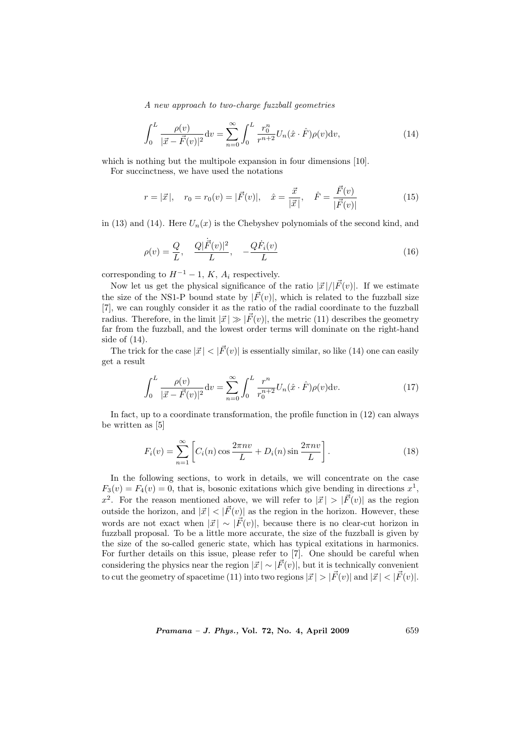$$
\int_0^L \frac{\rho(v)}{|\vec{x} - \vec{F}(v)|^2} dv = \sum_{n=0}^\infty \int_0^L \frac{r_0^n}{r^{n+2}} U_n(\hat{x} \cdot \hat{F}) \rho(v) dv,
$$
\n(14)

which is nothing but the multipole expansion in four dimensions [10].

For succinctness, we have used the notations

$$
r = |\vec{x}|
$$
,  $r_0 = r_0(v) = |\vec{F}(v)|$ ,  $\hat{x} = \frac{\vec{x}}{|\vec{x}|}$ ,  $\hat{F} = \frac{\vec{F}(v)}{|\vec{F}(v)|}$  (15)

in (13) and (14). Here  $U_n(x)$  is the Chebyshev polynomials of the second kind, and

$$
\rho(v) = \frac{Q}{L}, \quad \frac{Q|\dot{F}(v)|^2}{L}, \quad -\frac{Q\dot{F}_i(v)}{L}
$$
\n(16)

corresponding to  $H^{-1} - 1$ , K,  $A_i$  respectively.

Now let us get the physical significance of the ratio  $|\vec{x}|/|\vec{F}(v)|$ . If we estimate the size of the NS1-P bound state by  $|\vec{F}(v)|$ , which is related to the fuzzball size [7], we can roughly consider it as the ratio of the radial coordinate to the fuzzball radius. Therefore, in the limit  $|\vec{x}| \gg |\vec{F}(v)|$ , the metric (11) describes the geometry far from the fuzzball, and the lowest order terms will dominate on the right-hand side of (14).

The trick for the case  $|\vec{x}| < |\vec{F}(v)|$  is essentially similar, so like (14) one can easily get a result

$$
\int_0^L \frac{\rho(v)}{|\vec{x} - \vec{F}(v)|^2} dv = \sum_{n=0}^\infty \int_0^L \frac{r^n}{r_0^{n+2}} U_n(\hat{x} \cdot \hat{F}) \rho(v) dv.
$$
 (17)

In fact, up to a coordinate transformation, the profile function in (12) can always be written as [5]

$$
F_i(v) = \sum_{n=1}^{\infty} \left[ C_i(n) \cos \frac{2\pi n v}{L} + D_i(n) \sin \frac{2\pi n v}{L} \right].
$$
 (18)

In the following sections, to work in details, we will concentrate on the case  $F_3(v) = F_4(v) = 0$ , that is, bosonic exitations which give bending in directions  $x^1$ ,  $x^2$ . For the reason mentioned above, we will refer to  $|\vec{x}| > |\vec{F}(v)|$  as the region outside the horizon, and  $|\vec{x}| < |\vec{F}(v)|$  as the region in the horizon. However, these words are not exact when  $|\vec{x}| \sim |\vec{F}(v)|$ , because there is no clear-cut horizon in fuzzball proposal. To be a little more accurate, the size of the fuzzball is given by the size of the so-called generic state, which has typical exitations in harmonics. For further details on this issue, please refer to [7]. One should be careful when considering the physics near the region  $|\vec{x}| \sim |\vec{F}(v)|$ , but it is technically convenient to cut the geometry of spacetime (11) into two regions  $|\vec{x}| > |\vec{F}(v)|$  and  $|\vec{x}| < |\vec{F}(v)|$ .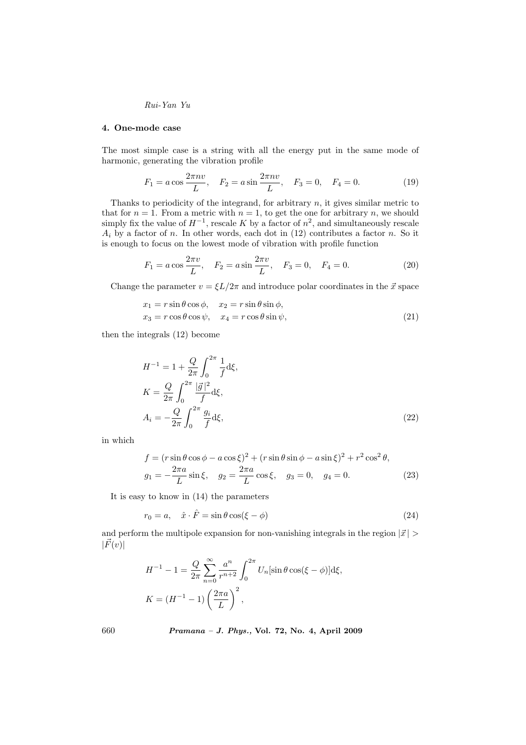## 4. One-mode case

The most simple case is a string with all the energy put in the same mode of harmonic, generating the vibration profile

$$
F_1 = a \cos \frac{2\pi n v}{L}, \quad F_2 = a \sin \frac{2\pi n v}{L}, \quad F_3 = 0, \quad F_4 = 0.
$$
 (19)

Thanks to periodicity of the integrand, for arbitrary  $n$ , it gives similar metric to that for  $n = 1$ . From a metric with  $n = 1$ , to get the one for arbitrary n, we should simply fix the value of  $H^{-1}$ , rescale K by a factor of  $n^2$ , and simultaneously rescale  $A_i$  by a factor of n. In other words, each dot in (12) contributes a factor n. So it is enough to focus on the lowest mode of vibration with profile function

$$
F_1 = a \cos \frac{2\pi v}{L}, \quad F_2 = a \sin \frac{2\pi v}{L}, \quad F_3 = 0, \quad F_4 = 0.
$$
 (20)

Change the parameter  $v = \xi L/2\pi$  and introduce polar coordinates in the  $\vec{x}$  space

$$
x_1 = r \sin \theta \cos \phi, \quad x_2 = r \sin \theta \sin \phi,
$$
  
\n
$$
x_3 = r \cos \theta \cos \psi, \quad x_4 = r \cos \theta \sin \psi,
$$
\n(21)

then the integrals (12) become

$$
H^{-1} = 1 + \frac{Q}{2\pi} \int_0^{2\pi} \frac{1}{f} d\xi,
$$
  
\n
$$
K = \frac{Q}{2\pi} \int_0^{2\pi} \frac{|\vec{g}|^2}{f} d\xi,
$$
  
\n
$$
A_i = -\frac{Q}{2\pi} \int_0^{2\pi} \frac{g_i}{f} d\xi,
$$
\n(22)

in which

$$
f = (r \sin \theta \cos \phi - a \cos \xi)^2 + (r \sin \theta \sin \phi - a \sin \xi)^2 + r^2 \cos^2 \theta,
$$
  
\n
$$
g_1 = -\frac{2\pi a}{L} \sin \xi, \quad g_2 = \frac{2\pi a}{L} \cos \xi, \quad g_3 = 0, \quad g_4 = 0.
$$
\n(23)

It is easy to know in (14) the parameters

$$
r_0 = a, \quad \hat{x} \cdot \hat{F} = \sin \theta \cos(\xi - \phi) \tag{24}
$$

and perform the multipole expansion for non-vanishing integrals in the region  $|\vec{x}| >$  $|\vec{F}(v)|$ 

$$
H^{-1} - 1 = \frac{Q}{2\pi} \sum_{n=0}^{\infty} \frac{a^n}{r^{n+2}} \int_0^{2\pi} U_n[\sin \theta \cos(\xi - \phi)]d\xi,
$$
  

$$
K = (H^{-1} - 1) \left(\frac{2\pi a}{L}\right)^2,
$$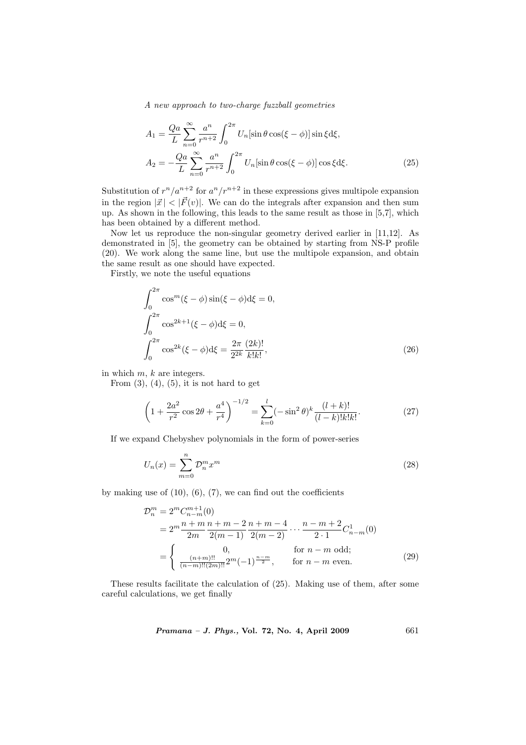$$
A_1 = \frac{Qa}{L} \sum_{n=0}^{\infty} \frac{a^n}{r^{n+2}} \int_0^{2\pi} U_n[\sin \theta \cos(\xi - \phi)] \sin \xi d\xi,
$$
  

$$
A_2 = -\frac{Qa}{L} \sum_{n=0}^{\infty} \frac{a^n}{r^{n+2}} \int_0^{2\pi} U_n[\sin \theta \cos(\xi - \phi)] \cos \xi d\xi.
$$
 (25)

Substitution of  $r^n/a^{n+2}$  for  $a^n/r^{n+2}$  in these expressions gives multipole expansion in the region  $|\vec{x}| < |\vec{F}(v)|$ . We can do the integrals after expansion and then sum up. As shown in the following, this leads to the same result as those in [5,7], which has been obtained by a different method.

Now let us reproduce the non-singular geometry derived earlier in [11,12]. As demonstrated in [5], the geometry can be obtained by starting from NS-P profile (20). We work along the same line, but use the multipole expansion, and obtain the same result as one should have expected.

Firstly, we note the useful equations

$$
\int_{0}^{2\pi} \cos^{m}(\xi - \phi) \sin(\xi - \phi) d\xi = 0,
$$
  

$$
\int_{0}^{2\pi} \cos^{2k+1}(\xi - \phi) d\xi = 0,
$$
  

$$
\int_{0}^{2\pi} \cos^{2k}(\xi - \phi) d\xi = \frac{2\pi}{2^{2k}} \frac{(2k)!}{k!k!},
$$
 (26)

in which  $m, k$  are integers.

From  $(3)$ ,  $(4)$ ,  $(5)$ , it is not hard to get

$$
\left(1 + \frac{2a^2}{r^2}\cos 2\theta + \frac{a^4}{r^4}\right)^{-1/2} = \sum_{k=0}^{l} (-\sin^2 \theta)^k \frac{(l+k)!}{(l-k)!k!k!}.
$$
 (27)

If we expand Chebyshev polynomials in the form of power-series

$$
U_n(x) = \sum_{m=0}^n \mathcal{D}_n^m x^m \tag{28}
$$

by making use of  $(10)$ ,  $(6)$ ,  $(7)$ , we can find out the coefficients

$$
\mathcal{D}_n^m = 2^m C_{n-m}^{m+1}(0)
$$
  
=  $2^m \frac{n+m}{2m} \frac{n+m-2}{2(m-1)} \frac{n+m-4}{2(m-2)} \cdots \frac{n-m+2}{2 \cdot 1} C_{n-m}^1(0)$   
= 
$$
\begin{cases} 0, & \text{for } n-m \text{ odd;} \\ \frac{(n+m)!!}{(n-m)!!(2m)!!} 2^m (-1)^{\frac{n-m}{2}}, & \text{for } n-m \text{ even.} \end{cases}
$$
(29)

These results facilitate the calculation of (25). Making use of them, after some careful calculations, we get finally

Pramana – J. Phys., Vol. 72, No. 4, April 2009 661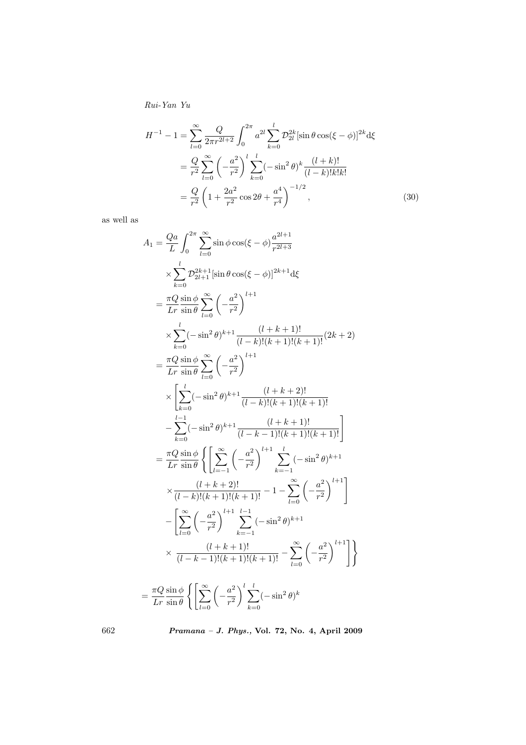$$
H^{-1} - 1 = \sum_{l=0}^{\infty} \frac{Q}{2\pi r^{2l+2}} \int_0^{2\pi} a^{2l} \sum_{k=0}^l \mathcal{D}_{2l}^{2k} [\sin \theta \cos(\xi - \phi)]^{2k} d\xi
$$
  
=  $\frac{Q}{r^2} \sum_{l=0}^{\infty} \left( -\frac{a^2}{r^2} \right)^l \sum_{k=0}^l (-\sin^2 \theta)^k \frac{(l+k)!}{(l-k)!k!k!}$   
=  $\frac{Q}{r^2} \left( 1 + \frac{2a^2}{r^2} \cos 2\theta + \frac{a^4}{r^4} \right)^{-1/2},$  (30)

as well as

$$
A_{1} = \frac{Q_{a}}{L} \int_{0}^{2\pi} \sum_{l=0}^{\infty} \sin \phi \cos(\xi - \phi) \frac{a^{2l+1}}{r^{2l+3}}
$$
  
\n
$$
\times \sum_{k=0}^{l} \frac{D_{2k+1}^{2k+1}[\sin \theta \cos(\xi - \phi)]^{2k+1} d\xi}{\sum_{l=0}^{l} \frac{1}{l}[\cos(\theta - \phi)]^{2k+1}} d\xi
$$
  
\n
$$
= \frac{\pi Q}{Lr} \frac{\sin \phi}{\sin \theta} \sum_{l=0}^{\infty} \left(-\frac{a^{2}}{r^{2}}\right)^{l+1}
$$
  
\n
$$
\times \sum_{k=0}^{l} (-\sin^{2} \theta)^{k+1} \frac{(l+k+1)!}{(l-k)!(k+1)!(k+1)!} (2k+2)
$$
  
\n
$$
= \frac{\pi Q}{Lr} \frac{\sin \phi}{\sin \theta} \sum_{l=0}^{\infty} \left(-\frac{a^{2}}{r^{2}}\right)^{l+1}
$$
  
\n
$$
\times \left[\sum_{k=0}^{l} (-\sin^{2} \theta)^{k+1} \frac{(l+k+2)!}{(l-k-1)!(k+1)!(k+1)!} - \sum_{k=0}^{l-1} (-\sin^{2} \theta)^{k+1} \frac{(l+k+2)!}{(l-k-1)!(k+1)!(k+1)!} \right]
$$
  
\n
$$
= \frac{\pi Q}{Lr} \frac{\sin \phi}{\sin \theta} \left\{ \sum_{l=-1}^{\infty} \left(-\frac{a^{2}}{r^{2}}\right)^{l+1} \sum_{k=-1}^{l} (-\sin^{2} \theta)^{k+1} - \sum_{l=0}^{\infty} \left(-\frac{a^{2}}{r^{2}}\right)^{l+1} \right\}
$$
  
\n
$$
- \left[\sum_{l=0}^{\infty} \left(-\frac{a^{2}}{r^{2}}\right)^{l+1} \sum_{k=-1}^{l-1} (-\sin^{2} \theta)^{k+1} - \sum_{l=0}^{\infty} \left(-\frac{a^{2}}{r^{2}}\right)^{l+1} \right] \times \frac{(l+k+1)!}{(l-k-1)!(k+1)!(k+
$$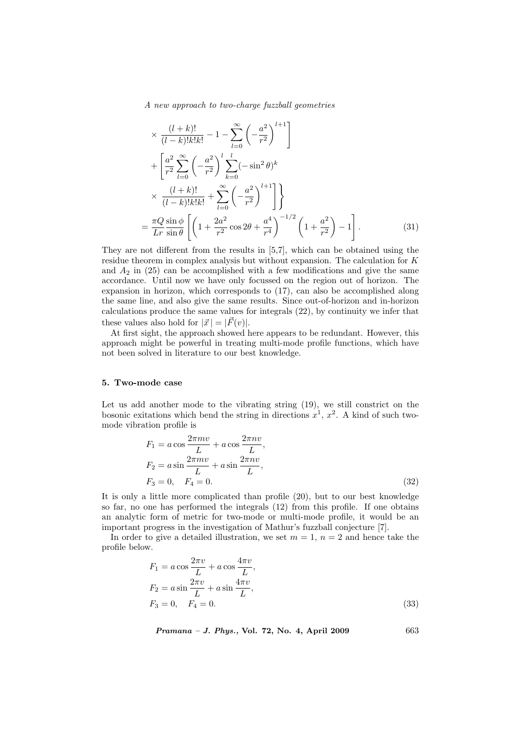$$
\times \frac{(l+k)!}{(l-k)!k!k!} - 1 - \sum_{l=0}^{\infty} \left( -\frac{a^2}{r^2} \right)^{l+1} \n+ \left[ \frac{a^2}{r^2} \sum_{l=0}^{\infty} \left( -\frac{a^2}{r^2} \right)^l \sum_{k=0}^l (-\sin^2 \theta)^k \n\times \frac{(l+k)!}{(l-k)!k!k!} + \sum_{l=0}^{\infty} \left( -\frac{a^2}{r^2} \right)^{l+1} \right] \n= \frac{\pi Q}{Lr} \frac{\sin \phi}{\sin \theta} \left[ \left( 1 + \frac{2a^2}{r^2} \cos 2\theta + \frac{a^4}{r^4} \right)^{-1/2} \left( 1 + \frac{a^2}{r^2} \right) - 1 \right].
$$
\n(31)

They are not different from the results in [5,7], which can be obtained using the residue theorem in complex analysis but without expansion. The calculation for K and  $A_2$  in (25) can be accomplished with a few modifications and give the same accordance. Until now we have only focussed on the region out of horizon. The expansion in horizon, which corresponds to (17), can also be accomplished along the same line, and also give the same results. Since out-of-horizon and in-horizon calculations produce the same values for integrals (22), by continuity we infer that these values also hold for  $|\vec{x}| = |\vec{F}(v)|$ .

At first sight, the approach showed here appears to be redundant. However, this approach might be powerful in treating multi-mode profile functions, which have not been solved in literature to our best knowledge.

#### 5. Two-mode case

Let us add another mode to the vibrating string (19), we still constrict on the bosonic exitations which bend the string in directions  $x^1$ ,  $x^2$ . A kind of such twomode vibration profile is

$$
F_1 = a \cos \frac{2\pi m v}{L} + a \cos \frac{2\pi n v}{L},
$$
  
\n
$$
F_2 = a \sin \frac{2\pi m v}{L} + a \sin \frac{2\pi n v}{L},
$$
  
\n
$$
F_3 = 0, \quad F_4 = 0.
$$
\n(32)

It is only a little more complicated than profile (20), but to our best knowledge so far, no one has performed the integrals (12) from this profile. If one obtains an analytic form of metric for two-mode or multi-mode profile, it would be an important progress in the investigation of Mathur's fuzzball conjecture [7].

In order to give a detailed illustration, we set  $m = 1$ ,  $n = 2$  and hence take the profile below.

$$
F_1 = a \cos \frac{2\pi v}{L} + a \cos \frac{4\pi v}{L},
$$
  
\n
$$
F_2 = a \sin \frac{2\pi v}{L} + a \sin \frac{4\pi v}{L},
$$
  
\n
$$
F_3 = 0, \quad F_4 = 0.
$$
\n(33)